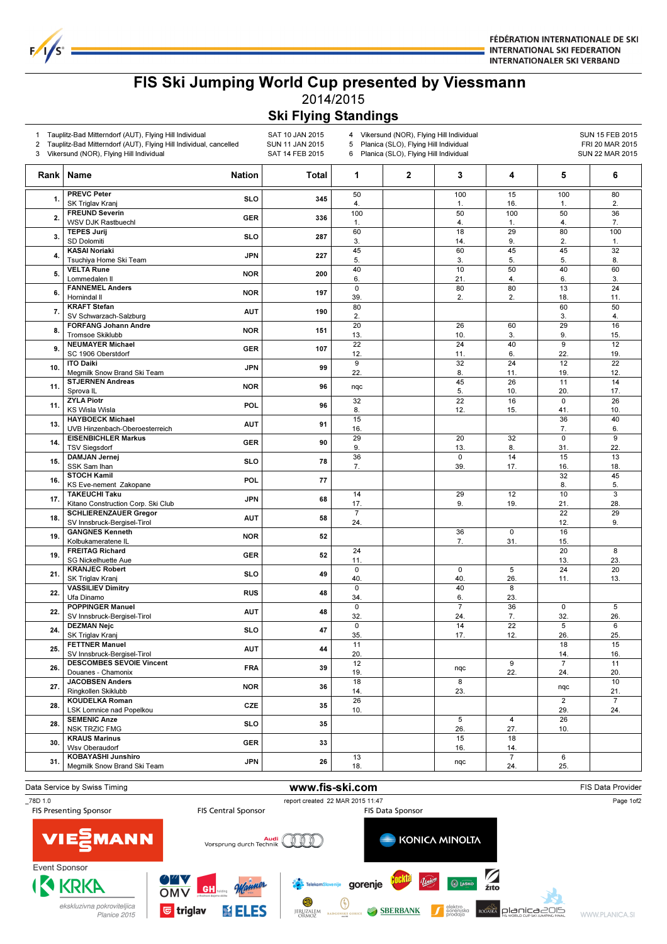

FÉDÉRATION INTERNATIONALE DE SKI **INTERNATIONAL SKI FEDERATION INTERNATIONALER SKI VERBAND** 

## FIS Ski Jumping World Cup presented by Viessmann 2014/2015

## Ski Flying Standings

| 1<br>2 | Tauplitz-Bad Mitterndorf (AUT), Flying Hill Individual<br>Tauplitz-Bad Mitterndorf (AUT), Flying Hill Individual, cancelled<br>3 Vikersund (NOR), Flying Hill Individual | SAT 10 JAN 2015<br>SUN 11 JAN 2015<br>SAT 14 FEB 2015 |       | Vikersund (NOR), Flying Hill Individual<br>4<br>Planica (SLO), Flying Hill Individual<br>5<br>Planica (SLO), Flying Hill Individual<br>6 |             |                      |                                |                       | SUN 15 FEB 2015<br>FRI 20 MAR 2015<br><b>SUN 22 MAR 2015</b> |  |
|--------|--------------------------------------------------------------------------------------------------------------------------------------------------------------------------|-------------------------------------------------------|-------|------------------------------------------------------------------------------------------------------------------------------------------|-------------|----------------------|--------------------------------|-----------------------|--------------------------------------------------------------|--|
| Rank   | Name                                                                                                                                                                     | <b>Nation</b>                                         | Total | 1                                                                                                                                        | $\mathbf 2$ | 3                    | 4                              | 5                     | 6                                                            |  |
| 1.     | <b>PREVC Peter</b><br>SK Triglav Kranj                                                                                                                                   | <b>SLO</b>                                            | 345   | 50<br>4.                                                                                                                                 |             | 100<br>1.            | 15<br>16.                      | 100<br>1.             | 80<br>2.                                                     |  |
| 2.     | <b>FREUND Severin</b><br><b>WSV DJK Rastbuechl</b>                                                                                                                       | <b>GER</b>                                            | 336   | 100<br>$\mathbf{1}$ .                                                                                                                    |             | 50<br>4.             | 100<br>1.                      | 50<br>4.              | 36<br>7.                                                     |  |
| 3.     | <b>TEPES Jurij</b><br>SD Dolomiti                                                                                                                                        | <b>SLO</b>                                            | 287   | 60<br>3.                                                                                                                                 |             | 18<br>14.            | 29<br>9.                       | 80<br>2.              | 100<br>1.                                                    |  |
| 4.     | <b>KASAI Noriaki</b>                                                                                                                                                     | <b>JPN</b>                                            | 227   | 45                                                                                                                                       |             | 60                   | 45                             | 45                    | 32                                                           |  |
| 5.     | Tsuchiya Home Ski Team<br><b>VELTA Rune</b>                                                                                                                              | <b>NOR</b>                                            | 200   | 5.<br>40                                                                                                                                 |             | 3.<br>10             | 5.<br>50                       | 5.<br>40              | 8.<br>60                                                     |  |
| 6.     | Lommedalen II<br><b>FANNEMEL Anders</b>                                                                                                                                  | <b>NOR</b>                                            | 197   | 6.<br>$\pmb{0}$                                                                                                                          |             | 21.<br>80            | 4.<br>80                       | 6.<br>13              | 3.<br>24                                                     |  |
| 7.     | Hornindal II<br><b>KRAFT Stefan</b>                                                                                                                                      | <b>AUT</b>                                            | 190   | 39.<br>80                                                                                                                                |             | 2.                   | 2.                             | 18.<br>60             | 11.<br>50                                                    |  |
| 8.     | SV Schwarzach-Salzburg<br><b>FORFANG Johann Andre</b>                                                                                                                    | <b>NOR</b>                                            | 151   | 2.<br>20                                                                                                                                 |             | 26                   | 60                             | 3.<br>29              | 4.<br>16                                                     |  |
| 9.     | <b>Tromsoe Skiklubb</b><br><b>NEUMAYER Michael</b>                                                                                                                       | <b>GER</b>                                            | 107   | 13.<br>22                                                                                                                                |             | 10.<br>24            | 3.<br>40                       | 9.<br>9               | 15.<br>12                                                    |  |
|        | SC 1906 Oberstdorf<br><b>ITO Daiki</b>                                                                                                                                   |                                                       |       | 12.<br>9                                                                                                                                 |             | 11.<br>32            | 6.<br>24                       | 22.<br>12             | 19.<br>22                                                    |  |
| 10.    | Megmilk Snow Brand Ski Team<br><b>STJERNEN Andreas</b>                                                                                                                   | <b>JPN</b>                                            | 99    | 22.                                                                                                                                      |             | 8.<br>45             | 11.<br>26                      | 19.<br>11             | 12.<br>14                                                    |  |
| 11.    | Sprova <sub>IL</sub><br><b>ZYLA Piotr</b>                                                                                                                                | <b>NOR</b>                                            | 96    | nqc<br>32                                                                                                                                |             | 5.<br>22             | 10.<br>16                      | 20.<br>$\mathbf 0$    | 17.<br>26                                                    |  |
| 11.    | <b>KS Wisla Wisla</b>                                                                                                                                                    | <b>POL</b>                                            | 96    | 8.                                                                                                                                       |             | 12.                  | 15.                            | 41<br>36              | 10.<br>40                                                    |  |
| 13.    | <b>HAYBOECK Michael</b><br>UVB Hinzenbach-Oberoesterreich                                                                                                                | <b>AUT</b>                                            | 91    | 15<br>16.                                                                                                                                |             |                      |                                | 7.                    | 6.                                                           |  |
| 14.    | <b>EISENBICHLER Markus</b><br><b>TSV Siegsdorf</b>                                                                                                                       | <b>GER</b>                                            | 90    | $\overline{29}$<br>9.                                                                                                                    |             | 20<br>13.            | 32<br>8.                       | $\overline{0}$<br>31. | 9<br>22.                                                     |  |
| 15.    | <b>DAMJAN Jernej</b><br>SSK Sam Ihan                                                                                                                                     | <b>SLO</b>                                            | 78    | 36<br>7.                                                                                                                                 |             | 0<br>39.             | 14<br>17.                      | 15<br>16.             | 13<br>18.                                                    |  |
| 16.    | <b>STOCH Kamil</b><br>KS Eve-nement Zakopane                                                                                                                             | <b>POL</b>                                            | 77    |                                                                                                                                          |             |                      |                                | 32<br>8.              | 45<br>5.                                                     |  |
| 17.    | <b>TAKEUCHI Taku</b><br>Kitano Construction Corp. Ski Club                                                                                                               | <b>JPN</b>                                            | 68    | 14<br>17.                                                                                                                                |             | 29<br>9.             | 12<br>19.                      | 10<br>21.             | 3<br>28.                                                     |  |
| 18.    | <b>SCHLIERENZAUER Gregor</b><br>SV Innsbruck-Bergisel-Tirol                                                                                                              | <b>AUT</b>                                            | 58    | $\overline{7}$<br>24.                                                                                                                    |             |                      |                                | 22<br>12.             | 29<br>9.                                                     |  |
| 19.    | <b>GANGNES Kenneth</b><br>Kolbukameratene IL                                                                                                                             | <b>NOR</b>                                            | 52    |                                                                                                                                          |             | 36<br>7.             | $\overline{\mathbf{0}}$<br>31. | 16<br>15.             |                                                              |  |
| 19.    | <b>FREITAG Richard</b><br><b>SG Nickelhuette Aue</b>                                                                                                                     | <b>GER</b>                                            | 52    | 24<br>11.                                                                                                                                |             |                      |                                | 20                    | 8<br>23.                                                     |  |
| 21.    | <b>KRANJEC Robert</b>                                                                                                                                                    | <b>SLO</b>                                            | 49    | $\mathsf 0$                                                                                                                              |             | 0                    | 5                              | 13.<br>24             | 20                                                           |  |
| 22.    | SK Triglav Kranj<br><b>VASSILIEV Dimitry</b>                                                                                                                             | <b>RUS</b>                                            | 48    | 40.<br>$\mathbf 0$                                                                                                                       |             | 40.<br>40            | 26.<br>8                       | 11.                   | 13.                                                          |  |
| 22.    | Ufa Dinamo<br><b>POPPINGER Manuel</b>                                                                                                                                    | <b>AUT</b>                                            | 48    | 34.<br>$\mathbf 0$                                                                                                                       |             | 6.<br>$\overline{7}$ | 23.<br>36                      | $\mathsf 0$           | 5                                                            |  |
| 24.    | SV Innsbruck-Bergisel-Tirol<br><b>DEZMAN Nejc</b>                                                                                                                        | SLO                                                   | 47    | 32.<br>$\mathbf 0$                                                                                                                       |             | 24.<br>14            | 7.<br>22                       | 32.<br>5              | 26.<br>6                                                     |  |
|        | SK Triglav Kranj<br><b>FETTNER Manuel</b>                                                                                                                                |                                                       |       | 35.<br>11                                                                                                                                |             | 17.                  | 12.                            | 26.<br>18             | 25.<br>15                                                    |  |
| 25.    | SV Innsbruck-Bergisel-Tirol<br><b>DESCOMBES SEVOIE Vincent</b>                                                                                                           | <b>AUT</b>                                            | 44    | 20.<br>12                                                                                                                                |             |                      | $\overline{9}$                 | 14.<br>$\overline{7}$ | 16.<br>11                                                    |  |
| 26.    | Douanes - Chamonix<br><b>JACOBSEN Anders</b>                                                                                                                             | <b>FRA</b>                                            | 39    | 19.<br>18                                                                                                                                |             | nqc<br>8             | 22.                            | 24.                   | 20.<br>10                                                    |  |
| 27.    | Ringkollen Skiklubb<br><b>KOUDELKA Roman</b>                                                                                                                             | <b>NOR</b>                                            | 36    | 14.                                                                                                                                      |             | 23.                  |                                | nqc                   | 21.                                                          |  |
| 28.    | LSK Lomnice nad Popelkou                                                                                                                                                 | CZE                                                   | 35    | 26<br>10.                                                                                                                                |             |                      |                                | $\overline{2}$<br>29. | $\overline{7}$<br>24.                                        |  |
| 28.    | <b>SEMENIC Anze</b><br><b>NSK TRZIC FMG</b>                                                                                                                              | SLO                                                   | 35    |                                                                                                                                          |             | 5<br>26.             | 4<br>27.                       | 26<br>10.             |                                                              |  |
| 30.    | <b>KRAUS Marinus</b><br>Wsv Oberaudorf                                                                                                                                   | <b>GER</b>                                            | 33    |                                                                                                                                          |             | 15<br>16.            | 18<br>14.                      |                       |                                                              |  |
| 31.    | KOBAYASHI Junshiro<br>Megmilk Snow Brand Ski Team                                                                                                                        | JPN                                                   | 26    | 13<br>18.                                                                                                                                |             | nqc                  | $\overline{7}$<br>24.          | 6<br>25.              |                                                              |  |
|        |                                                                                                                                                                          |                                                       |       |                                                                                                                                          |             |                      |                                |                       |                                                              |  |

Data Service by Swiss Timing **Example 20 and Service Constructs Constructs** FIS Data Provider \_78D 1.0 report created 22 MAR 2015 11:47 Page 1of2 MANN **VIE** KONICA MINOLTA Audi CODO Event Sponsor  $\sum_{\tilde{z} \mid \tilde{z} \mid}$ **IN KRKA State TelekomSlovenije** gorenje GH OMV  $\bigcirc$ ekskluzivna pokroviteljica **SBERBANK T** SOF ROOF ROOF ROOF ROOF AND CONSIDERED BY UNDERGRESS AND SET UNDERGRESS FINAL **b** triglav ХEL ES JERUZALEM WWW.PLANICA.SI Planice 2015 **NSKE**